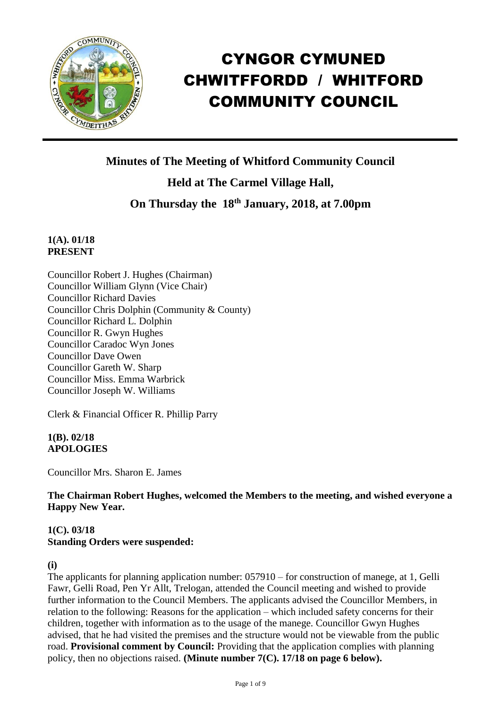

# CYNGOR CYMUNED CHWITFFORDD / WHITFORD COMMUNITY COUNCIL

**Minutes of The Meeting of Whitford Community Council**

**Held at The Carmel Village Hall,**

# **On Thursday the 18th January, 2018, at 7.00pm**

## **1(A). 01/18 PRESENT**

Councillor Robert J. Hughes (Chairman) Councillor William Glynn (Vice Chair) Councillor Richard Davies Councillor Chris Dolphin (Community & County) Councillor Richard L. Dolphin Councillor R. Gwyn Hughes Councillor Caradoc Wyn Jones Councillor Dave Owen Councillor Gareth W. Sharp Councillor Miss. Emma Warbrick Councillor Joseph W. Williams

Clerk & Financial Officer R. Phillip Parry

#### **1(B). 02/18 APOLOGIES**

Councillor Mrs. Sharon E. James

**The Chairman Robert Hughes, welcomed the Members to the meeting, and wished everyone a Happy New Year.** 

# **1(C). 03/18 Standing Orders were suspended:**

**(i)**

The applicants for planning application number: 057910 – for construction of manege, at 1, Gelli Fawr, Gelli Road, Pen Yr Allt, Trelogan, attended the Council meeting and wished to provide further information to the Council Members. The applicants advised the Councillor Members, in relation to the following: Reasons for the application – which included safety concerns for their children, together with information as to the usage of the manege. Councillor Gwyn Hughes advised, that he had visited the premises and the structure would not be viewable from the public road. **Provisional comment by Council:** Providing that the application complies with planning policy, then no objections raised. **(Minute number 7(C). 17/18 on page 6 below).**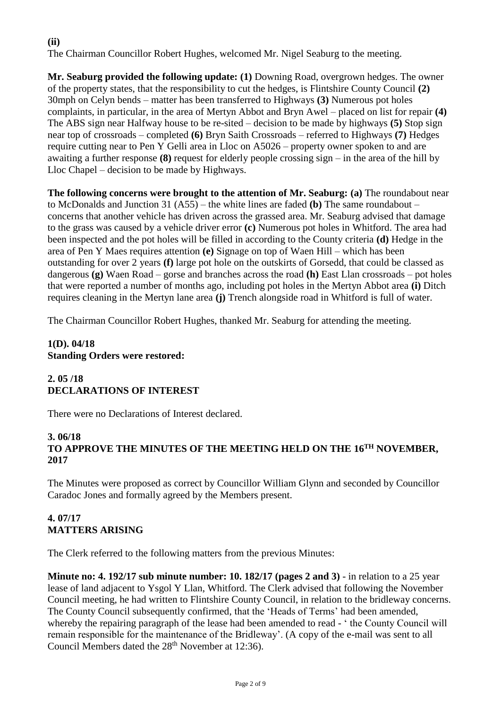# **(ii)**

The Chairman Councillor Robert Hughes, welcomed Mr. Nigel Seaburg to the meeting.

**Mr. Seaburg provided the following update: (1)** Downing Road, overgrown hedges. The owner of the property states, that the responsibility to cut the hedges, is Flintshire County Council **(2)** 30mph on Celyn bends – matter has been transferred to Highways **(3)** Numerous pot holes complaints, in particular, in the area of Mertyn Abbot and Bryn Awel – placed on list for repair **(4)** The ABS sign near Halfway house to be re-sited – decision to be made by highways **(5)** Stop sign near top of crossroads – completed **(6)** Bryn Saith Crossroads – referred to Highways **(7)** Hedges require cutting near to Pen Y Gelli area in Lloc on A5026 – property owner spoken to and are awaiting a further response **(8)** request for elderly people crossing sign – in the area of the hill by Lloc Chapel – decision to be made by Highways.

**The following concerns were brought to the attention of Mr. Seaburg: (a)** The roundabout near to McDonalds and Junction 31 (A55) – the white lines are faded **(b)** The same roundabout – concerns that another vehicle has driven across the grassed area. Mr. Seaburg advised that damage to the grass was caused by a vehicle driver error **(c)** Numerous pot holes in Whitford. The area had been inspected and the pot holes will be filled in according to the County criteria **(d)** Hedge in the area of Pen Y Maes requires attention **(e)** Signage on top of Waen Hill – which has been outstanding for over 2 years **(f)** large pot hole on the outskirts of Gorsedd, that could be classed as dangerous **(g)** Waen Road – gorse and branches across the road **(h)** East Llan crossroads – pot holes that were reported a number of months ago, including pot holes in the Mertyn Abbot area **(i)** Ditch requires cleaning in the Mertyn lane area **(j)** Trench alongside road in Whitford is full of water.

The Chairman Councillor Robert Hughes, thanked Mr. Seaburg for attending the meeting.

# **1(D). 04/18 Standing Orders were restored:**

# **2. 05 /18 DECLARATIONS OF INTEREST**

There were no Declarations of Interest declared.

#### **3. 06/18 TO APPROVE THE MINUTES OF THE MEETING HELD ON THE 16TH NOVEMBER, 2017**

The Minutes were proposed as correct by Councillor William Glynn and seconded by Councillor Caradoc Jones and formally agreed by the Members present.

# **4. 07/17 MATTERS ARISING**

The Clerk referred to the following matters from the previous Minutes:

**Minute no: 4. 192/17 sub minute number: 10. 182/17 (pages 2 and 3)** - in relation to a 25 year lease of land adjacent to Ysgol Y Llan, Whitford. The Clerk advised that following the November Council meeting, he had written to Flintshire County Council, in relation to the bridleway concerns. The County Council subsequently confirmed, that the 'Heads of Terms' had been amended, whereby the repairing paragraph of the lease had been amended to read -  $\cdot$  the County Council will remain responsible for the maintenance of the Bridleway'. (A copy of the e-mail was sent to all Council Members dated the 28<sup>th</sup> November at 12:36).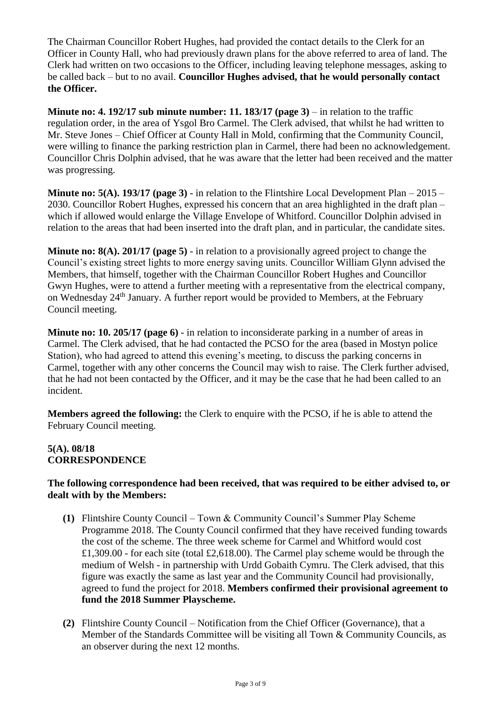The Chairman Councillor Robert Hughes, had provided the contact details to the Clerk for an Officer in County Hall, who had previously drawn plans for the above referred to area of land. The Clerk had written on two occasions to the Officer, including leaving telephone messages, asking to be called back – but to no avail. **Councillor Hughes advised, that he would personally contact the Officer.** 

**Minute no: 4. 192/17 sub minute number: 11. 183/17 (page 3)** – in relation to the traffic regulation order, in the area of Ysgol Bro Carmel. The Clerk advised, that whilst he had written to Mr. Steve Jones – Chief Officer at County Hall in Mold, confirming that the Community Council, were willing to finance the parking restriction plan in Carmel, there had been no acknowledgement. Councillor Chris Dolphin advised, that he was aware that the letter had been received and the matter was progressing.

**Minute no: 5(A). 193/17 (page 3)** - in relation to the Flintshire Local Development Plan – 2015 – 2030. Councillor Robert Hughes, expressed his concern that an area highlighted in the draft plan – which if allowed would enlarge the Village Envelope of Whitford. Councillor Dolphin advised in relation to the areas that had been inserted into the draft plan, and in particular, the candidate sites.

**Minute no: 8(A). 201/17 (page 5)** - in relation to a provisionally agreed project to change the Council's existing street lights to more energy saving units. Councillor William Glynn advised the Members, that himself, together with the Chairman Councillor Robert Hughes and Councillor Gwyn Hughes, were to attend a further meeting with a representative from the electrical company, on Wednesday 24<sup>th</sup> January. A further report would be provided to Members, at the February Council meeting.

**Minute no: 10. 205/17 (page 6)** - in relation to inconsiderate parking in a number of areas in Carmel. The Clerk advised, that he had contacted the PCSO for the area (based in Mostyn police Station), who had agreed to attend this evening's meeting, to discuss the parking concerns in Carmel, together with any other concerns the Council may wish to raise. The Clerk further advised, that he had not been contacted by the Officer, and it may be the case that he had been called to an incident.

**Members agreed the following:** the Clerk to enquire with the PCSO, if he is able to attend the February Council meeting.

# **5(A). 08/18 CORRESPONDENCE**

#### **The following correspondence had been received, that was required to be either advised to, or dealt with by the Members:**

- **(1)** Flintshire County Council Town & Community Council's Summer Play Scheme Programme 2018. The County Council confirmed that they have received funding towards the cost of the scheme. The three week scheme for Carmel and Whitford would cost £1,309.00 - for each site (total £2,618.00). The Carmel play scheme would be through the medium of Welsh - in partnership with Urdd Gobaith Cymru. The Clerk advised, that this figure was exactly the same as last year and the Community Council had provisionally, agreed to fund the project for 2018. **Members confirmed their provisional agreement to fund the 2018 Summer Playscheme.**
- **(2)** Flintshire County Council Notification from the Chief Officer (Governance), that a Member of the Standards Committee will be visiting all Town & Community Councils, as an observer during the next 12 months.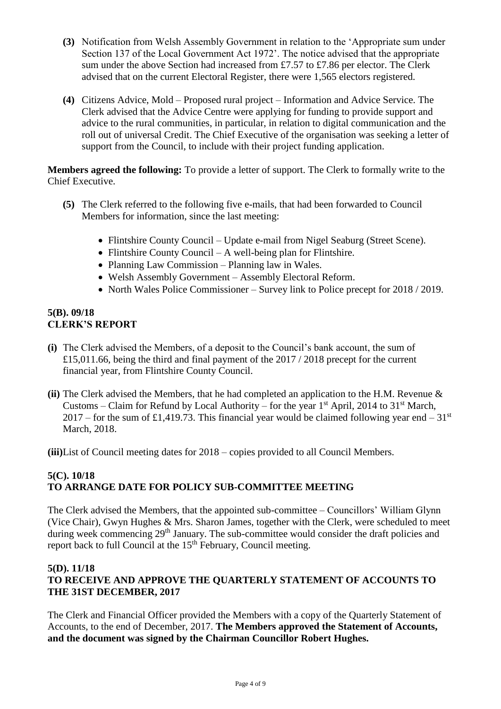- **(3)** Notification from Welsh Assembly Government in relation to the 'Appropriate sum under Section 137 of the Local Government Act 1972'. The notice advised that the appropriate sum under the above Section had increased from £7.57 to £7.86 per elector. The Clerk advised that on the current Electoral Register, there were 1,565 electors registered.
- **(4)** Citizens Advice, Mold Proposed rural project Information and Advice Service. The Clerk advised that the Advice Centre were applying for funding to provide support and advice to the rural communities, in particular, in relation to digital communication and the roll out of universal Credit. The Chief Executive of the organisation was seeking a letter of support from the Council, to include with their project funding application.

**Members agreed the following:** To provide a letter of support. The Clerk to formally write to the Chief Executive.

- **(5)** The Clerk referred to the following five e-mails, that had been forwarded to Council Members for information, since the last meeting:
	- Flintshire County Council Update e-mail from Nigel Seaburg (Street Scene).
	- Flintshire County Council A well-being plan for Flintshire.
	- Planning Law Commission Planning law in Wales.
	- Welsh Assembly Government Assembly Electoral Reform.
	- North Wales Police Commissioner Survey link to Police precept for 2018 / 2019.

#### **5(B). 09/18 CLERK'S REPORT**

- **(i)** The Clerk advised the Members, of a deposit to the Council's bank account, the sum of £15,011.66, being the third and final payment of the 2017 / 2018 precept for the current financial year, from Flintshire County Council.
- **(ii)** The Clerk advised the Members, that he had completed an application to the H.M. Revenue & Customs – Claim for Refund by Local Authority – for the year  $1<sup>st</sup>$  April, 2014 to 31<sup>st</sup> March, 2017 – for the sum of £1,419.73. This financial year would be claimed following year end – 31<sup>st</sup> March, 2018.

**(iii)**List of Council meeting dates for 2018 – copies provided to all Council Members.

#### **5(C). 10/18 TO ARRANGE DATE FOR POLICY SUB-COMMITTEE MEETING**

The Clerk advised the Members, that the appointed sub-committee – Councillors' William Glynn (Vice Chair), Gwyn Hughes & Mrs. Sharon James, together with the Clerk, were scheduled to meet during week commencing 29<sup>th</sup> January. The sub-committee would consider the draft policies and report back to full Council at the 15<sup>th</sup> February, Council meeting.

#### **5(D). 11/18 TO RECEIVE AND APPROVE THE QUARTERLY STATEMENT OF ACCOUNTS TO THE 31ST DECEMBER, 2017**

The Clerk and Financial Officer provided the Members with a copy of the Quarterly Statement of Accounts, to the end of December, 2017. **The Members approved the Statement of Accounts, and the document was signed by the Chairman Councillor Robert Hughes.**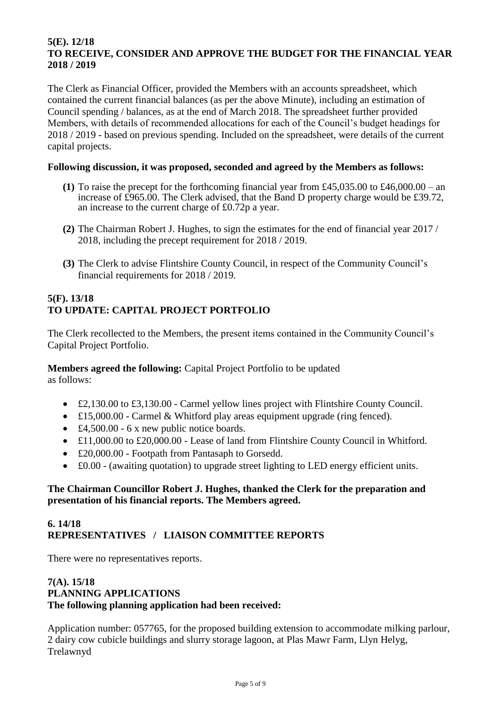#### **5(E). 12/18 TO RECEIVE, CONSIDER AND APPROVE THE BUDGET FOR THE FINANCIAL YEAR 2018 / 2019**

The Clerk as Financial Officer, provided the Members with an accounts spreadsheet, which contained the current financial balances (as per the above Minute), including an estimation of Council spending / balances, as at the end of March 2018. The spreadsheet further provided Members, with details of recommended allocations for each of the Council's budget headings for 2018 / 2019 - based on previous spending. Included on the spreadsheet, were details of the current capital projects.

#### **Following discussion, it was proposed, seconded and agreed by the Members as follows:**

- **(1)** To raise the precept for the forthcoming financial year from £45,035.00 to £46,000.00 an increase of £965.00. The Clerk advised, that the Band D property charge would be £39.72, an increase to the current charge of £0.72p a year.
- **(2)** The Chairman Robert J. Hughes, to sign the estimates for the end of financial year 2017 / 2018, including the precept requirement for 2018 / 2019.
- **(3)** The Clerk to advise Flintshire County Council, in respect of the Community Council's financial requirements for 2018 / 2019.

# **5(F). 13/18 TO UPDATE: CAPITAL PROJECT PORTFOLIO**

The Clerk recollected to the Members, the present items contained in the Community Council's Capital Project Portfolio.

**Members agreed the following:** Capital Project Portfolio to be updated as follows:

- £2,130.00 to £3,130.00 Carmel yellow lines project with Flintshire County Council.
- £15,000.00 Carmel & Whitford play areas equipment upgrade (ring fenced).
- £4,500.00 6 x new public notice boards.
- £11,000.00 to £20,000.00 Lease of land from Flintshire County Council in Whitford.
- £20,000.00 Footpath from Pantasaph to Gorsedd.
- £0.00 (awaiting quotation) to upgrade street lighting to LED energy efficient units.

#### **The Chairman Councillor Robert J. Hughes, thanked the Clerk for the preparation and presentation of his financial reports. The Members agreed.**

#### **6. 14/18 REPRESENTATIVES / LIAISON COMMITTEE REPORTS**

There were no representatives reports.

#### **7(A). 15/18 PLANNING APPLICATIONS The following planning application had been received:**

Application number: 057765, for the proposed building extension to accommodate milking parlour, 2 dairy cow cubicle buildings and slurry storage lagoon, at Plas Mawr Farm, Llyn Helyg, Trelawnyd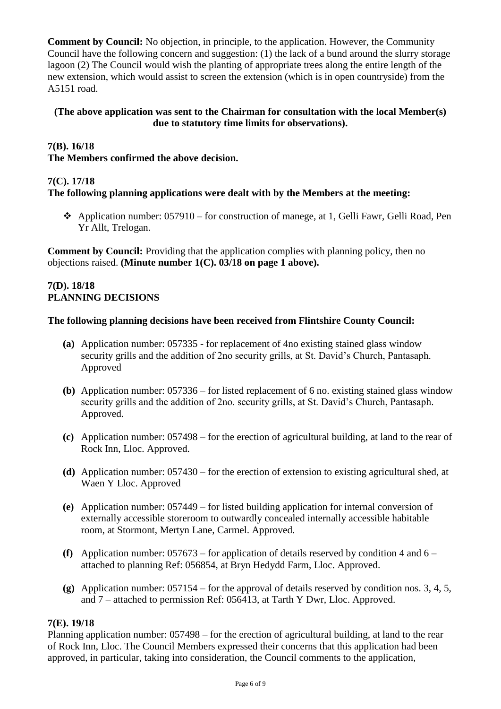**Comment by Council:** No objection, in principle, to the application. However, the Community Council have the following concern and suggestion: (1) the lack of a bund around the slurry storage lagoon (2) The Council would wish the planting of appropriate trees along the entire length of the new extension, which would assist to screen the extension (which is in open countryside) from the A5151 road.

#### **(The above application was sent to the Chairman for consultation with the local Member(s) due to statutory time limits for observations).**

# **7(B). 16/18**

**The Members confirmed the above decision.**

#### **7(C). 17/18**

#### **The following planning applications were dealt with by the Members at the meeting:**

❖ Application number: 057910 – for construction of manege, at 1, Gelli Fawr, Gelli Road, Pen Yr Allt, Trelogan.

**Comment by Council:** Providing that the application complies with planning policy, then no objections raised. **(Minute number 1(C). 03/18 on page 1 above).**

#### **7(D). 18/18 PLANNING DECISIONS**

#### **The following planning decisions have been received from Flintshire County Council:**

- **(a)** Application number: 057335 for replacement of 4no existing stained glass window security grills and the addition of 2no security grills, at St. David's Church, Pantasaph. Approved
- **(b)** Application number: 057336 for listed replacement of 6 no. existing stained glass window security grills and the addition of 2no. security grills, at St. David's Church, Pantasaph. Approved.
- **(c)** Application number: 057498 for the erection of agricultural building, at land to the rear of Rock Inn, Lloc. Approved.
- **(d)** Application number: 057430 for the erection of extension to existing agricultural shed, at Waen Y Lloc. Approved
- **(e)** Application number: 057449 for listed building application for internal conversion of externally accessible storeroom to outwardly concealed internally accessible habitable room, at Stormont, Mertyn Lane, Carmel. Approved.
- **(f)** Application number: 057673 for application of details reserved by condition 4 and 6 attached to planning Ref: 056854, at Bryn Hedydd Farm, Lloc. Approved.
- **(g)** Application number: 057154 for the approval of details reserved by condition nos. 3, 4, 5, and 7 – attached to permission Ref: 056413, at Tarth Y Dwr, Lloc. Approved.

#### **7(E). 19/18**

Planning application number: 057498 – for the erection of agricultural building, at land to the rear of Rock Inn, Lloc. The Council Members expressed their concerns that this application had been approved, in particular, taking into consideration, the Council comments to the application,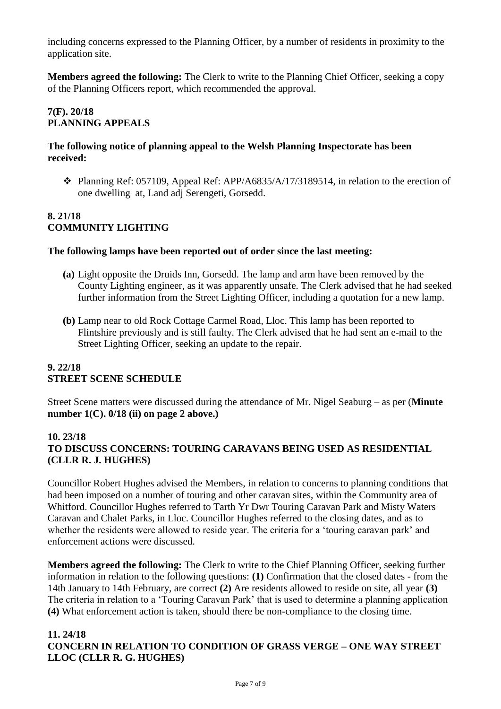including concerns expressed to the Planning Officer, by a number of residents in proximity to the application site.

**Members agreed the following:** The Clerk to write to the Planning Chief Officer, seeking a copy of the Planning Officers report, which recommended the approval.

# **7(F). 20/18 PLANNING APPEALS**

#### **The following notice of planning appeal to the Welsh Planning Inspectorate has been received:**

❖ Planning Ref: 057109, Appeal Ref: APP/A6835/A/17/3189514, in relation to the erection of one dwelling at, Land adj Serengeti, Gorsedd.

## **8. 21/18 COMMUNITY LIGHTING**

#### **The following lamps have been reported out of order since the last meeting:**

- **(a)** Light opposite the Druids Inn, Gorsedd. The lamp and arm have been removed by the County Lighting engineer, as it was apparently unsafe. The Clerk advised that he had seeked further information from the Street Lighting Officer, including a quotation for a new lamp.
- **(b)** Lamp near to old Rock Cottage Carmel Road, Lloc. This lamp has been reported to Flintshire previously and is still faulty. The Clerk advised that he had sent an e-mail to the Street Lighting Officer, seeking an update to the repair.

#### **9. 22/18 STREET SCENE SCHEDULE**

Street Scene matters were discussed during the attendance of Mr. Nigel Seaburg – as per (**Minute number 1(C). 0/18 (ii) on page 2 above.)**

#### **10. 23/18 TO DISCUSS CONCERNS: TOURING CARAVANS BEING USED AS RESIDENTIAL (CLLR R. J. HUGHES)**

Councillor Robert Hughes advised the Members, in relation to concerns to planning conditions that had been imposed on a number of touring and other caravan sites, within the Community area of Whitford. Councillor Hughes referred to Tarth Yr Dwr Touring Caravan Park and Misty Waters Caravan and Chalet Parks, in Lloc. Councillor Hughes referred to the closing dates, and as to whether the residents were allowed to reside year. The criteria for a 'touring caravan park' and enforcement actions were discussed.

**Members agreed the following:** The Clerk to write to the Chief Planning Officer, seeking further information in relation to the following questions: **(1)** Confirmation that the closed dates - from the 14th January to 14th February, are correct **(2)** Are residents allowed to reside on site, all year **(3)**  The criteria in relation to a 'Touring Caravan Park' that is used to determine a planning application **(4)** What enforcement action is taken, should there be non-compliance to the closing time.

#### **11. 24/18 CONCERN IN RELATION TO CONDITION OF GRASS VERGE – ONE WAY STREET LLOC (CLLR R. G. HUGHES)**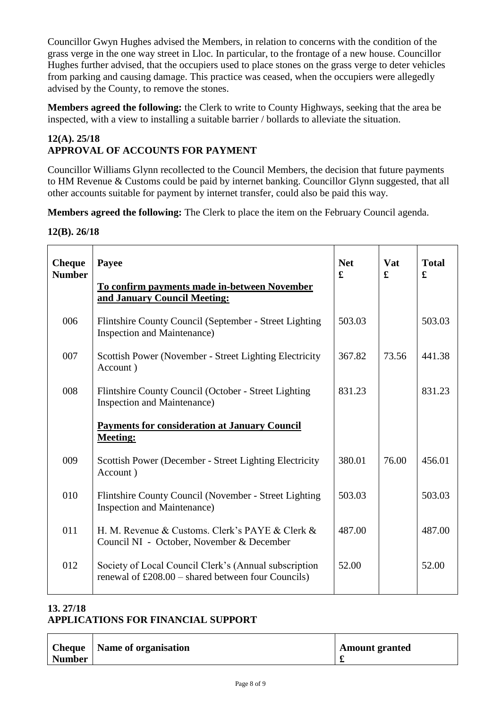Councillor Gwyn Hughes advised the Members, in relation to concerns with the condition of the grass verge in the one way street in Lloc. In particular, to the frontage of a new house. Councillor Hughes further advised, that the occupiers used to place stones on the grass verge to deter vehicles from parking and causing damage. This practice was ceased, when the occupiers were allegedly advised by the County, to remove the stones.

**Members agreed the following:** the Clerk to write to County Highways, seeking that the area be inspected, with a view to installing a suitable barrier / bollards to alleviate the situation.

#### **12(A). 25/18 APPROVAL OF ACCOUNTS FOR PAYMENT**

Councillor Williams Glynn recollected to the Council Members, the decision that future payments to HM Revenue & Customs could be paid by internet banking. Councillor Glynn suggested, that all other accounts suitable for payment by internet transfer, could also be paid this way.

**Members agreed the following:** The Clerk to place the item on the February Council agenda.

**12(B). 26/18**

| <b>Cheque</b><br><b>Number</b> | Payee<br>To confirm payments made in-between November                                                         | <b>Net</b><br>£ | Vat<br>£ | <b>Total</b><br>$\mathbf f$ |
|--------------------------------|---------------------------------------------------------------------------------------------------------------|-----------------|----------|-----------------------------|
|                                | and January Council Meeting:                                                                                  |                 |          |                             |
| 006                            | Flintshire County Council (September - Street Lighting<br><b>Inspection and Maintenance)</b>                  | 503.03          |          | 503.03                      |
| 007                            | Scottish Power (November - Street Lighting Electricity<br>Account)                                            | 367.82          | 73.56    | 441.38                      |
| 008                            | Flintshire County Council (October - Street Lighting)<br><b>Inspection and Maintenance)</b>                   | 831.23          |          | 831.23                      |
|                                | <b>Payments for consideration at January Council</b><br><b>Meeting:</b>                                       |                 |          |                             |
| 009                            | Scottish Power (December - Street Lighting Electricity<br>Account)                                            | 380.01          | 76.00    | 456.01                      |
| 010                            | Flintshire County Council (November - Street Lighting<br><b>Inspection and Maintenance</b> )                  | 503.03          |          | 503.03                      |
| 011                            | H. M. Revenue & Customs. Clerk's PAYE & Clerk &<br>Council NI - October, November & December                  | 487.00          |          | 487.00                      |
| 012                            | Society of Local Council Clerk's (Annual subscription<br>renewal of $£208.00 - shared$ between four Councils) | 52.00           |          | 52.00                       |
|                                |                                                                                                               |                 |          |                             |

# **13. 27/18**

# **APPLICATIONS FOR FINANCIAL SUPPORT**

| <b>Cheque</b> | <b>Name of organisation</b> | <b>Amount granted</b> |
|---------------|-----------------------------|-----------------------|
| Number        |                             |                       |